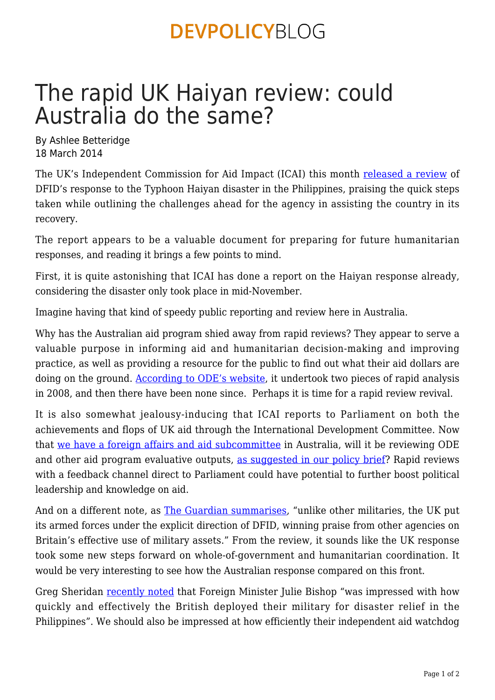### **DEVPOLICYBLOG**

# The rapid UK Haiyan review: could Australia do the same?

By Ashlee Betteridge 18 March 2014

The UK's Independent Commission for Aid Impact (ICAI) this month [released a review](http://icai.independent.gov.uk/reports/rapid-review-dfids-humanitarian-response-typhoon-haiyan-philippines/) of DFID's response to the Typhoon Haiyan disaster in the Philippines, praising the quick steps taken while outlining the challenges ahead for the agency in assisting the country in its recovery.

The report appears to be a valuable document for preparing for future humanitarian responses, and reading it brings a few points to mind.

First, it is quite astonishing that ICAI has done a report on the Haiyan response already, considering the disaster only took place in mid-November.

Imagine having that kind of speedy public reporting and review here in Australia.

Why has the Australian aid program shied away from rapid reviews? They appear to serve a valuable purpose in informing aid and humanitarian decision-making and improving practice, as well as providing a resource for the public to find out what their aid dollars are doing on the ground. [According to ODE's website](http://www.ode.dfat.gov.au/publications/evaluations-reviews.html#rapidanalysis), it undertook two pieces of rapid analysis in 2008, and then there have been none since. Perhaps it is time for a rapid review revival.

It is also somewhat jealousy-inducing that ICAI reports to Parliament on both the achievements and flops of UK aid through the International Development Committee. Now that [we have a foreign affairs and aid subcommittee](https://devpolicy.org/in-brief/parliament-creates-foreign-affairs-and-aid-subcommittee-20131218/) in Australia, will it be reviewing ODE and other aid program evaluative outputs, [as suggested in our policy brief?](https://devpolicy.org/a-parliamentary-committee-on-aid-issues-and-options-20131111/) Rapid reviews with a feedback channel direct to Parliament could have potential to further boost political leadership and knowledge on aid.

And on a different note, as [The Guardian summarises,](http://www.theguardian.com/global-development/2014/mar/11/typhoon-haiyan-philippines-uk-response-dfid-icai) "unlike other militaries, the UK put its armed forces under the explicit direction of DFID, winning praise from other agencies on Britain's effective use of military assets." From the review, it sounds like the UK response took some new steps forward on whole-of-government and humanitarian coordination. It would be very interesting to see how the Australian response compared on this front.

Greg Sheridan [recently noted](http://www.theaustralian.com.au/opinion/columnists/old-ties-that-secure-our-future/story-e6frg72x-1226848318516#mm-premium) that Foreign Minister Julie Bishop "was impressed with how quickly and effectively the British deployed their military for disaster relief in the Philippines". We should also be impressed at how efficiently their independent aid watchdog